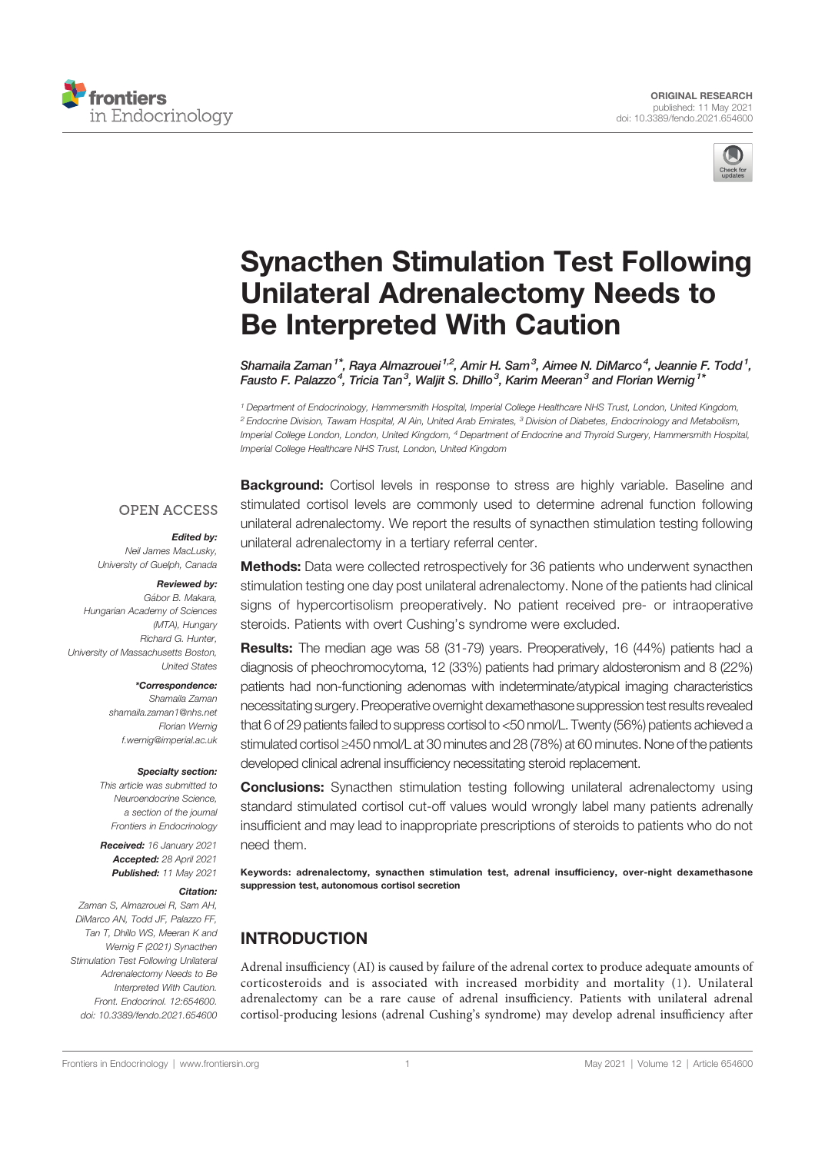



# Synacthen Stimulation Test Following Unilateral Adrenalectomy Needs to Be Interpreted With Caution

Shamaila Zaman $^{1*}$ , Raya Almazrouei $^{1,2}$ , Amir H. Sam $^3$ , Aimee N. DiMarco $^4$ , Jeannie F. Todd $^1$ , Fausto F. Palazzo<sup>4</sup>, Tricia Tan<sup>3</sup>, Waljit S. Dhillo<sup>3</sup>, Karim Meeran<sup>3</sup> and Florian Wernig<sup>1\*</sup>

<sup>1</sup> Department of Endocrinology, Hammersmith Hospital, Imperial College Healthcare NHS Trust, London, United Kingdom, <sup>2</sup> Endocrine Division, Tawam Hospital, Al Ain, United Arab Emirates, <sup>3</sup> Division of Diabetes, Endocrinology and Metabolism, Imperial College London, London, United Kingdom, <sup>4</sup> Department of Endocrine and Thyroid Surgery, Hammersmith Hospital, Imperial College Healthcare NHS Trust, London, United Kingdom

#### **OPEN ACCESS**

#### Edited by:

Neil James MacLusky, University of Guelph, Canada

#### Reviewed by:

Gábor B. Makara Hungarian Academy of Sciences (MTA), Hungary Richard G. Hunter, University of Massachusetts Boston, United States

#### \*Correspondence:

Shamaila Zaman shamaila.zaman1@nhs.net Florian Wernig f.wernig@imperial.ac.uk

#### Specialty section:

This article was submitted to Neuroendocrine Science, a section of the journal Frontiers in Endocrinology

Received: 16 January 2021 Accepted: 28 April 2021 Published: 11 May 2021

#### Citation:

Zaman S, Almazrouei R, Sam AH, DiMarco AN, Todd JF, Palazzo FF, Tan T, Dhillo WS, Meeran K and Wernig F (2021) Synacthen Stimulation Test Following Unilateral Adrenalectomy Needs to Be Interpreted With Caution. Front. Endocrinol. 12:654600. doi: 10.3389/fendo.2021.654600

**Background:** Cortisol levels in response to stress are highly variable. Baseline and stimulated cortisol levels are commonly used to determine adrenal function following unilateral adrenalectomy. We report the results of synacthen stimulation testing following unilateral adrenalectomy in a tertiary referral center.

**Methods:** Data were collected retrospectively for 36 patients who underwent synacthen stimulation testing one day post unilateral adrenalectomy. None of the patients had clinical signs of hypercortisolism preoperatively. No patient received pre- or intraoperative steroids. Patients with overt Cushing's syndrome were excluded.

Results: The median age was 58 (31-79) years. Preoperatively, 16 (44%) patients had a diagnosis of pheochromocytoma, 12 (33%) patients had primary aldosteronism and 8 (22%) patients had non-functioning adenomas with indeterminate/atypical imaging characteristics necessitating surgery. Preoperative overnight dexamethasone suppressiontest results revealed that 6 of 29 patients failed to suppress cortisol to <50 nmol/L. Twenty (56%) patients achieved a stimulated cortisol ≥450 nmol/L at 30 minutes and 28 (78%) at 60 minutes. None of the patients developed clinical adrenal insufficiency necessitating steroid replacement.

**Conclusions:** Synacthen stimulation testing following unilateral adrenalectomy using standard stimulated cortisol cut-off values would wrongly label many patients adrenally insufficient and may lead to inappropriate prescriptions of steroids to patients who do not need them.

Keywords: adrenalectomy, synacthen stimulation test, adrenal insufficiency, over-night dexamethasone suppression test, autonomous cortisol secretion

# INTRODUCTION

Adrenal insufficiency (AI) is caused by failure of the adrenal cortex to produce adequate amounts of corticosteroids and is associated with increased morbidity and mortality (1). Unilateral adrenalectomy can be a rare cause of adrenal insufficiency. Patients with unilateral adrenal cortisol-producing lesions (adrenal Cushing's syndrome) may develop adrenal insufficiency after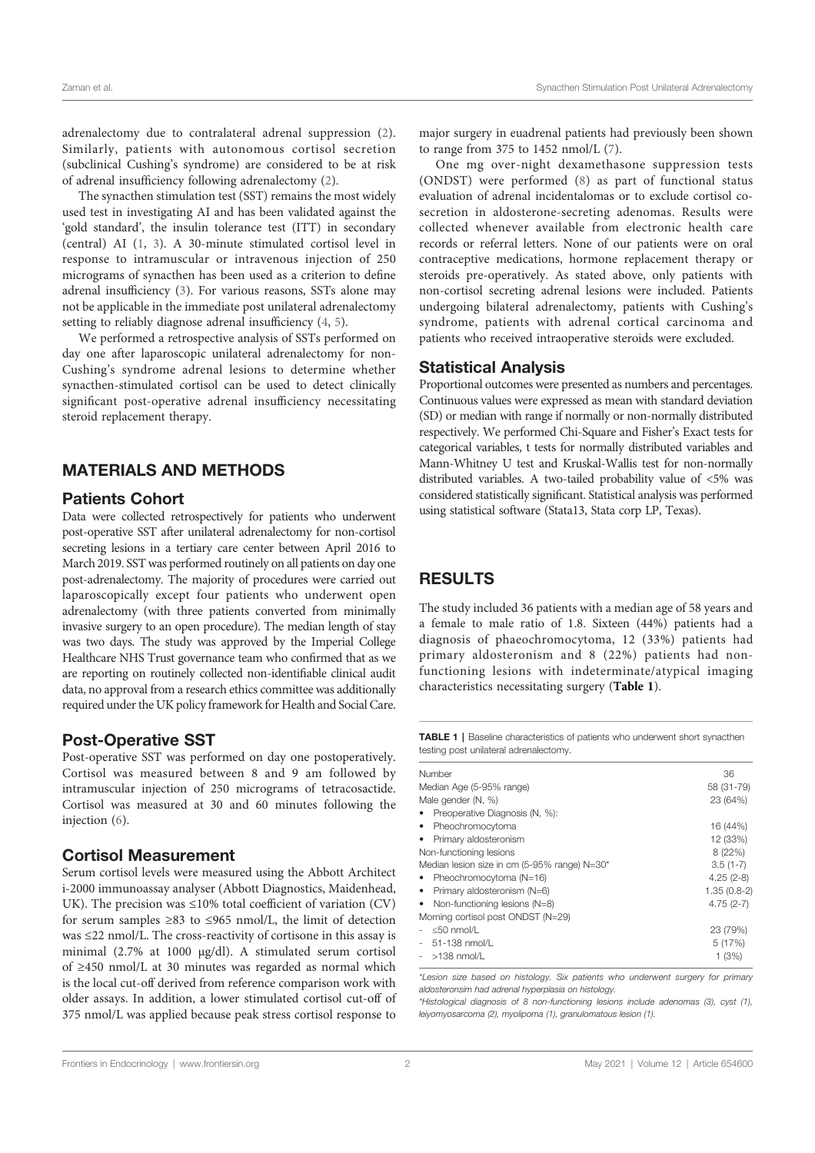adrenalectomy due to contralateral adrenal suppression (2). Similarly, patients with autonomous cortisol secretion (subclinical Cushing's syndrome) are considered to be at risk of adrenal insufficiency following adrenalectomy (2).

The synacthen stimulation test (SST) remains the most widely used test in investigating AI and has been validated against the 'gold standard', the insulin tolerance test (ITT) in secondary (central) AI (1, 3). A 30-minute stimulated cortisol level in response to intramuscular or intravenous injection of 250 micrograms of synacthen has been used as a criterion to define adrenal insufficiency (3). For various reasons, SSTs alone may not be applicable in the immediate post unilateral adrenalectomy setting to reliably diagnose adrenal insufficiency (4, 5).

We performed a retrospective analysis of SSTs performed on day one after laparoscopic unilateral adrenalectomy for non-Cushing's syndrome adrenal lesions to determine whether synacthen-stimulated cortisol can be used to detect clinically significant post-operative adrenal insufficiency necessitating steroid replacement therapy.

## MATERIALS AND METHODS

#### Patients Cohort

Data were collected retrospectively for patients who underwent post-operative SST after unilateral adrenalectomy for non-cortisol secreting lesions in a tertiary care center between April 2016 to March 2019. SST was performed routinely on all patients on day one post-adrenalectomy. The majority of procedures were carried out laparoscopically except four patients who underwent open adrenalectomy (with three patients converted from minimally invasive surgery to an open procedure). The median length of stay was two days. The study was approved by the Imperial College Healthcare NHS Trust governance team who confirmed that as we are reporting on routinely collected non-identifiable clinical audit data, no approval from a research ethics committee was additionally required under the UK policy framework for Health and Social Care.

## Post-Operative SST

Post-operative SST was performed on day one postoperatively. Cortisol was measured between 8 and 9 am followed by intramuscular injection of 250 micrograms of tetracosactide. Cortisol was measured at 30 and 60 minutes following the injection (6).

## Cortisol Measurement

Serum cortisol levels were measured using the Abbott Architect i‐2000 immunoassay analyser (Abbott Diagnostics, Maidenhead, UK). The precision was ≤10% total coefficient of variation (CV) for serum samples ≥83 to ≤965 nmol/L, the limit of detection was ≤22 nmol/L. The cross-reactivity of cortisone in this assay is minimal (2.7% at 1000 µg/dl). A stimulated serum cortisol of ≥450 nmol/L at 30 minutes was regarded as normal which is the local cut-off derived from reference comparison work with older assays. In addition, a lower stimulated cortisol cut-off of 375 nmol/L was applied because peak stress cortisol response to

major surgery in euadrenal patients had previously been shown to range from 375 to 1452 nmol/L (7).

One mg over-night dexamethasone suppression tests (ONDST) were performed (8) as part of functional status evaluation of adrenal incidentalomas or to exclude cortisol cosecretion in aldosterone-secreting adenomas. Results were collected whenever available from electronic health care records or referral letters. None of our patients were on oral contraceptive medications, hormone replacement therapy or steroids pre-operatively. As stated above, only patients with non-cortisol secreting adrenal lesions were included. Patients undergoing bilateral adrenalectomy, patients with Cushing's syndrome, patients with adrenal cortical carcinoma and patients who received intraoperative steroids were excluded.

## Statistical Analysis

Proportional outcomes were presented as numbers and percentages. Continuous values were expressed as mean with standard deviation (SD) or median with range if normally or non-normally distributed respectively. We performed Chi-Square and Fisher's Exact tests for categorical variables, t tests for normally distributed variables and Mann-Whitney U test and Kruskal-Wallis test for non-normally distributed variables. A two-tailed probability value of <5% was considered statistically significant. Statistical analysis was performed using statistical software (Stata13, Stata corp LP, Texas).

## RESULTS

The study included 36 patients with a median age of 58 years and a female to male ratio of 1.8. Sixteen (44%) patients had a diagnosis of phaeochromocytoma, 12 (33%) patients had primary aldosteronism and 8 (22%) patients had nonfunctioning lesions with indeterminate/atypical imaging characteristics necessitating surgery (Table 1).

TABLE 1 | Baseline characteristics of patients who underwent short synacthen testing post unilateral adrenalectomy.

| Number                                       | 36            |
|----------------------------------------------|---------------|
| Median Age (5-95% range)                     | 58 (31-79)    |
| Male gender (N, %)                           | 23 (64%)      |
| Preoperative Diagnosis (N, %):               |               |
| Pheochromocytoma<br>٠                        | 16 (44%)      |
| Primary aldosteronism                        | 12 (33%)      |
| Non-functioning lesions                      | 8 (22%)       |
| Median lesion size in cm (5-95% range) N=30* | $3.5(1-7)$    |
| Pheochromocytoma (N=16)                      | $4.25(2-8)$   |
| Primary aldosteronism (N=6)<br>٠             | $1.35(0.8-2)$ |
| Non-functioning lesions (N=8)                | $4.75(2-7)$   |
| Morning cortisol post ONDST (N=29)           |               |
| $<$ 50 nmol/L                                | 23 (79%)      |
| $51-138$ nmol/L                              | 5(17%)        |
| $>138$ nmol/L                                | 1(3%)         |
|                                              |               |

\*Lesion size based on histology. Six patients who underwent surgery for primary aldosteronsim had adrenal hyperplasia on histology.

\*Histological diagnosis of 8 non-functioning lesions include adenomas (3), cyst (1), leiyomyosarcoma (2), myolipoma (1), granulomatous lesion (1).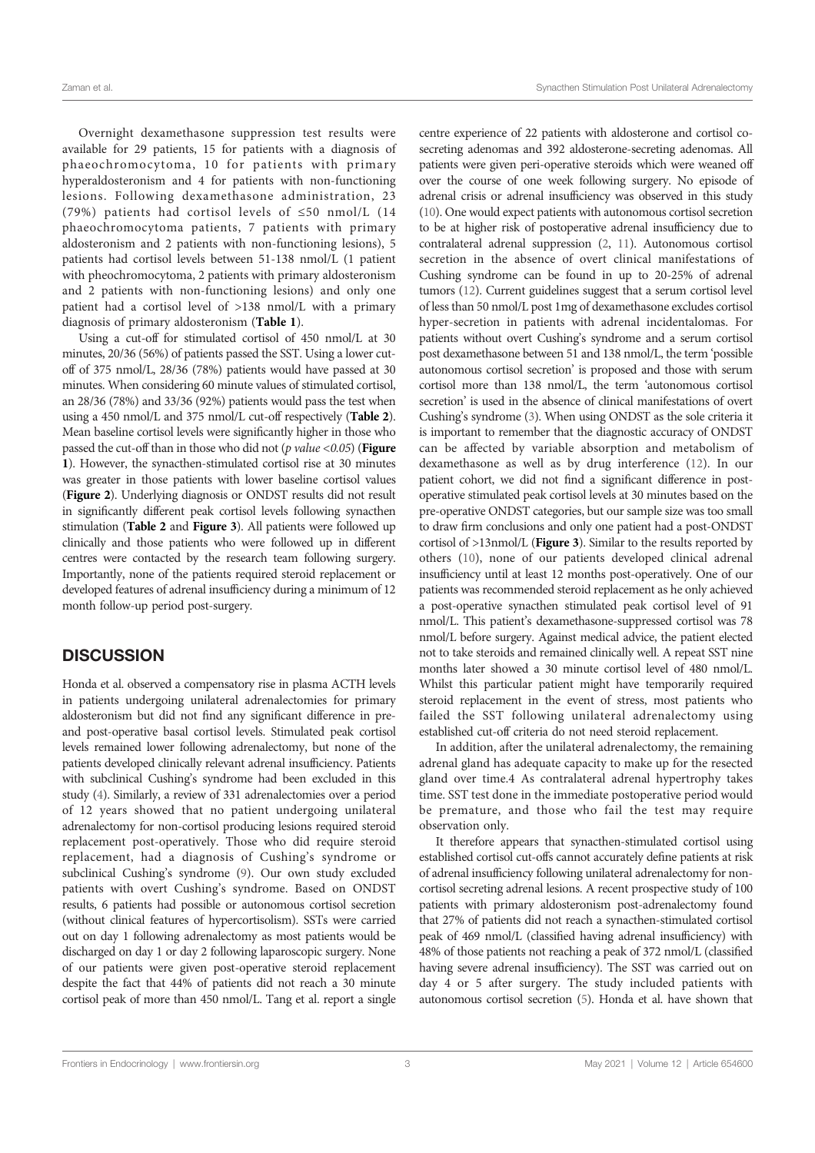Overnight dexamethasone suppression test results were available for 29 patients, 15 for patients with a diagnosis of phaeochromocytoma, 10 for patients with primary hyperaldosteronism and 4 for patients with non-functioning lesions. Following dexamethasone administration, 23 (79%) patients had cortisol levels of ≤50 nmol/L (14 phaeochromocytoma patients, 7 patients with primary aldosteronism and 2 patients with non-functioning lesions), 5 patients had cortisol levels between 51-138 nmol/L (1 patient with pheochromocytoma, 2 patients with primary aldosteronism and 2 patients with non-functioning lesions) and only one patient had a cortisol level of >138 nmol/L with a primary diagnosis of primary aldosteronism (Table 1).

Using a cut-off for stimulated cortisol of 450 nmol/L at 30 minutes, 20/36 (56%) of patients passed the SST. Using a lower cutoff of 375 nmol/L, 28/36 (78%) patients would have passed at 30 minutes. When considering 60 minute values of stimulated cortisol, an 28/36 (78%) and 33/36 (92%) patients would pass the test when using a 450 nmol/L and 375 nmol/L cut-off respectively (Table 2). Mean baseline cortisol levels were significantly higher in those who passed the cut-off than in those who did not ( $p$  value <0.05) (**Figure** 1). However, the synacthen-stimulated cortisol rise at 30 minutes was greater in those patients with lower baseline cortisol values (Figure 2). Underlying diagnosis or ONDST results did not result in significantly different peak cortisol levels following synacthen stimulation (Table 2 and Figure 3). All patients were followed up clinically and those patients who were followed up in different centres were contacted by the research team following surgery. Importantly, none of the patients required steroid replacement or developed features of adrenal insufficiency during a minimum of 12 month follow-up period post-surgery.

## **DISCUSSION**

Honda et al. observed a compensatory rise in plasma ACTH levels in patients undergoing unilateral adrenalectomies for primary aldosteronism but did not find any significant difference in preand post-operative basal cortisol levels. Stimulated peak cortisol levels remained lower following adrenalectomy, but none of the patients developed clinically relevant adrenal insufficiency. Patients with subclinical Cushing's syndrome had been excluded in this study (4). Similarly, a review of 331 adrenalectomies over a period of 12 years showed that no patient undergoing unilateral adrenalectomy for non-cortisol producing lesions required steroid replacement post-operatively. Those who did require steroid replacement, had a diagnosis of Cushing's syndrome or subclinical Cushing's syndrome (9). Our own study excluded patients with overt Cushing's syndrome. Based on ONDST results, 6 patients had possible or autonomous cortisol secretion (without clinical features of hypercortisolism). SSTs were carried out on day 1 following adrenalectomy as most patients would be discharged on day 1 or day 2 following laparoscopic surgery. None of our patients were given post-operative steroid replacement despite the fact that 44% of patients did not reach a 30 minute cortisol peak of more than 450 nmol/L. Tang et al. report a single centre experience of 22 patients with aldosterone and cortisol cosecreting adenomas and 392 aldosterone-secreting adenomas. All patients were given peri-operative steroids which were weaned off over the course of one week following surgery. No episode of adrenal crisis or adrenal insufficiency was observed in this study (10). One would expect patients with autonomous cortisol secretion to be at higher risk of postoperative adrenal insufficiency due to contralateral adrenal suppression (2, 11). Autonomous cortisol secretion in the absence of overt clinical manifestations of Cushing syndrome can be found in up to 20-25% of adrenal tumors (12). Current guidelines suggest that a serum cortisol level of less than 50 nmol/L post 1mg of dexamethasone excludes cortisol hyper-secretion in patients with adrenal incidentalomas. For patients without overt Cushing's syndrome and a serum cortisol post dexamethasone between 51 and 138 nmol/L, the term 'possible autonomous cortisol secretion' is proposed and those with serum cortisol more than 138 nmol/L, the term 'autonomous cortisol secretion' is used in the absence of clinical manifestations of overt Cushing's syndrome (3). When using ONDST as the sole criteria it is important to remember that the diagnostic accuracy of ONDST can be affected by variable absorption and metabolism of dexamethasone as well as by drug interference (12). In our patient cohort, we did not find a significant difference in postoperative stimulated peak cortisol levels at 30 minutes based on the pre-operative ONDST categories, but our sample size was too small to draw firm conclusions and only one patient had a post-ONDST cortisol of >13nmol/L (Figure 3). Similar to the results reported by others (10), none of our patients developed clinical adrenal insufficiency until at least 12 months post-operatively. One of our patients was recommended steroid replacement as he only achieved a post-operative synacthen stimulated peak cortisol level of 91 nmol/L. This patient's dexamethasone-suppressed cortisol was 78 nmol/L before surgery. Against medical advice, the patient elected not to take steroids and remained clinically well. A repeat SST nine months later showed a 30 minute cortisol level of 480 nmol/L. Whilst this particular patient might have temporarily required steroid replacement in the event of stress, most patients who failed the SST following unilateral adrenalectomy using established cut-off criteria do not need steroid replacement.

In addition, after the unilateral adrenalectomy, the remaining adrenal gland has adequate capacity to make up for the resected gland over time.4 As contralateral adrenal hypertrophy takes time. SST test done in the immediate postoperative period would be premature, and those who fail the test may require observation only.

It therefore appears that synacthen-stimulated cortisol using established cortisol cut-offs cannot accurately define patients at risk of adrenal insufficiency following unilateral adrenalectomy for noncortisol secreting adrenal lesions. A recent prospective study of 100 patients with primary aldosteronism post-adrenalectomy found that 27% of patients did not reach a synacthen-stimulated cortisol peak of 469 nmol/L (classified having adrenal insufficiency) with 48% of those patients not reaching a peak of 372 nmol/L (classified having severe adrenal insufficiency). The SST was carried out on day 4 or 5 after surgery. The study included patients with autonomous cortisol secretion (5). Honda et al. have shown that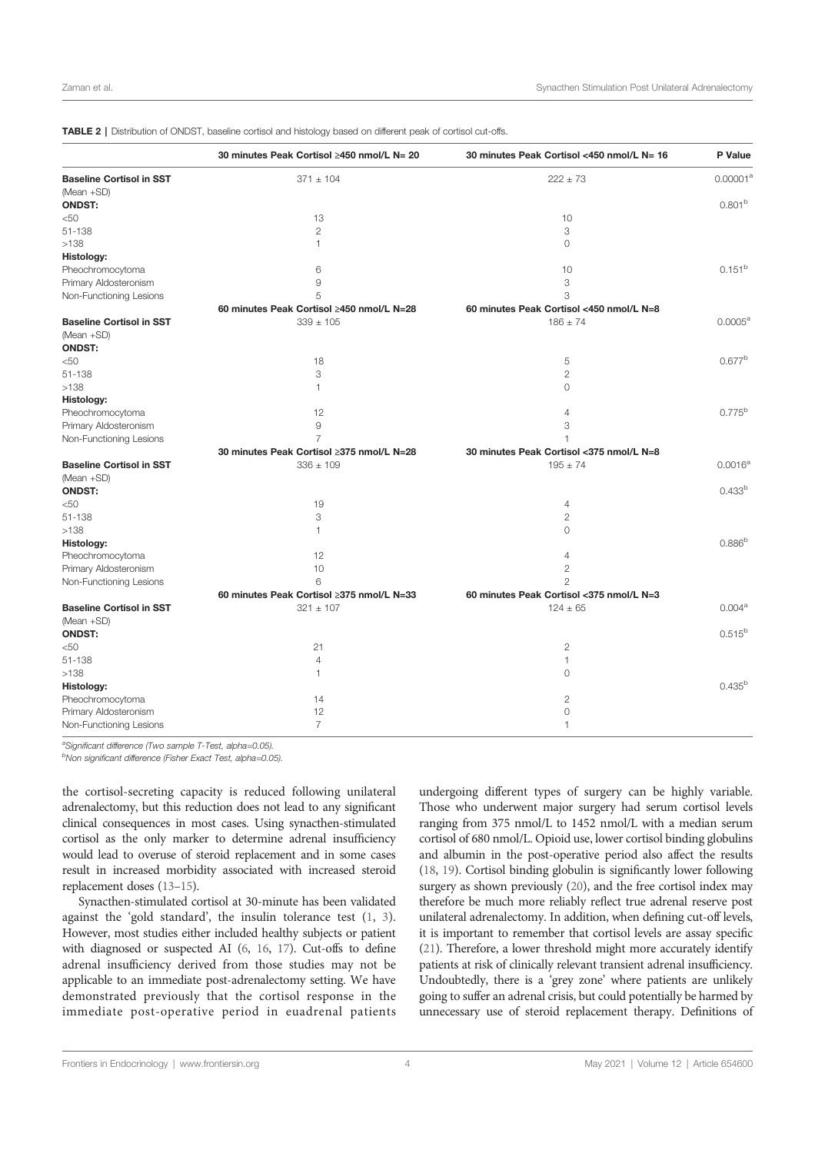|                                 | 30 minutes Peak Cortisol ≥450 nmol/L N= 20 | 30 minutes Peak Cortisol <450 nmol/L N= 16 | P Value             |
|---------------------------------|--------------------------------------------|--------------------------------------------|---------------------|
| <b>Baseline Cortisol in SST</b> | $371 \pm 104$                              | $222 \pm 73$                               | $0.00001^a$         |
| (Mean +SD)                      |                                            |                                            |                     |
| <b>ONDST:</b>                   |                                            |                                            | 0.801 <sup>b</sup>  |
| $<$ 50                          | 13                                         | 10                                         |                     |
| 51-138                          | $\mathbf{2}$                               | 3                                          |                     |
| >138                            | $\mathbf{1}$                               | $\circ$                                    |                     |
| Histology:                      |                                            |                                            |                     |
| Pheochromocytoma                | 6                                          | 10                                         | $0.151^{b}$         |
| Primary Aldosteronism           | 9                                          | 3                                          |                     |
| Non-Functioning Lesions         | 5                                          | 3                                          |                     |
|                                 | 60 minutes Peak Cortisol ≥450 nmol/L N=28  | 60 minutes Peak Cortisol <450 nmol/L N=8   |                     |
| <b>Baseline Cortisol in SST</b> | $339 \pm 105$                              | $186 \pm 74$                               | $0.0005^{\text{a}}$ |
| (Mean +SD)                      |                                            |                                            |                     |
| <b>ONDST:</b>                   |                                            |                                            |                     |
| <50                             | 18                                         | 5                                          | $0.677^{b}$         |
| 51-138                          | 3                                          | $\overline{2}$                             |                     |
| >138                            | $\mathbf{1}$                               | $\Omega$                                   |                     |
| Histology:                      |                                            |                                            |                     |
| Pheochromocytoma                | 12                                         | $\overline{4}$                             | $0.775^{b}$         |
| Primary Aldosteronism           | 9                                          | 3                                          |                     |
| Non-Functioning Lesions         | $\overline{7}$                             | 1                                          |                     |
|                                 | 30 minutes Peak Cortisol ≥375 nmol/L N=28  | 30 minutes Peak Cortisol < 375 nmol/L N=8  |                     |
| <b>Baseline Cortisol in SST</b> | $336 \pm 109$                              | $195 \pm 74$                               | $0.0016^{\rm a}$    |
| (Mean +SD)                      |                                            |                                            |                     |
| <b>ONDST:</b>                   |                                            |                                            | 0.433 <sup>b</sup>  |
| $50$                            | 19                                         | 4                                          |                     |
| 51-138                          | 3                                          | $\mathbf{2}$                               |                     |
| >138                            | 1                                          | $\mathbf 0$                                |                     |
| Histology:                      |                                            |                                            | $0.886^{b}$         |
| Pheochromocytoma                | 12                                         | $\overline{4}$                             |                     |
| Primary Aldosteronism           | 10                                         | $\overline{c}$                             |                     |
| Non-Functioning Lesions         | 6                                          | $\overline{c}$                             |                     |
|                                 | 60 minutes Peak Cortisol ≥375 nmol/L N=33  | 60 minutes Peak Cortisol <375 nmol/L N=3   |                     |
| <b>Baseline Cortisol in SST</b> | $321 \pm 107$                              | $124 \pm 65$                               | 0.004 <sup>a</sup>  |
| (Mean +SD)                      |                                            |                                            |                     |
| <b>ONDST:</b>                   |                                            |                                            | $0.515^{b}$         |
| $<$ 50                          | 21                                         | $\overline{2}$                             |                     |
| 51-138                          | $\overline{4}$                             | 1                                          |                     |
| >138                            | $\mathbf{1}$                               | $\Omega$                                   |                     |
| Histology:                      |                                            |                                            | $0.435^{b}$         |
| Pheochromocytoma                | 14                                         | 2                                          |                     |
| Primary Aldosteronism           | 12                                         | $\circ$                                    |                     |
| Non-Functioning Lesions         | $\overline{7}$                             | 1                                          |                     |

TABLE 2 | Distribution of ONDST, baseline cortisol and histology based on different peak of cortisol cut-offs.

<sup>a</sup>Significant difference (Two sample T-Test, alpha=0.05).

<sup>b</sup>Non significant difference (Fisher Exact Test, alpha=0.05).

the cortisol-secreting capacity is reduced following unilateral adrenalectomy, but this reduction does not lead to any significant clinical consequences in most cases. Using synacthen-stimulated cortisol as the only marker to determine adrenal insufficiency would lead to overuse of steroid replacement and in some cases result in increased morbidity associated with increased steroid replacement doses (13–15).

Synacthen-stimulated cortisol at 30-minute has been validated against the 'gold standard', the insulin tolerance test (1, 3). However, most studies either included healthy subjects or patient with diagnosed or suspected AI (6, 16, 17). Cut-offs to define adrenal insufficiency derived from those studies may not be applicable to an immediate post-adrenalectomy setting. We have demonstrated previously that the cortisol response in the immediate post-operative period in euadrenal patients undergoing different types of surgery can be highly variable. Those who underwent major surgery had serum cortisol levels ranging from 375 nmol/L to 1452 nmol/L with a median serum cortisol of 680 nmol/L. Opioid use, lower cortisol binding globulins and albumin in the post-operative period also affect the results (18, 19). Cortisol binding globulin is significantly lower following surgery as shown previously (20), and the free cortisol index may therefore be much more reliably reflect true adrenal reserve post unilateral adrenalectomy. In addition, when defining cut-off levels, it is important to remember that cortisol levels are assay specific (21). Therefore, a lower threshold might more accurately identify patients at risk of clinically relevant transient adrenal insufficiency. Undoubtedly, there is a 'grey zone' where patients are unlikely going to suffer an adrenal crisis, but could potentially be harmed by unnecessary use of steroid replacement therapy. Definitions of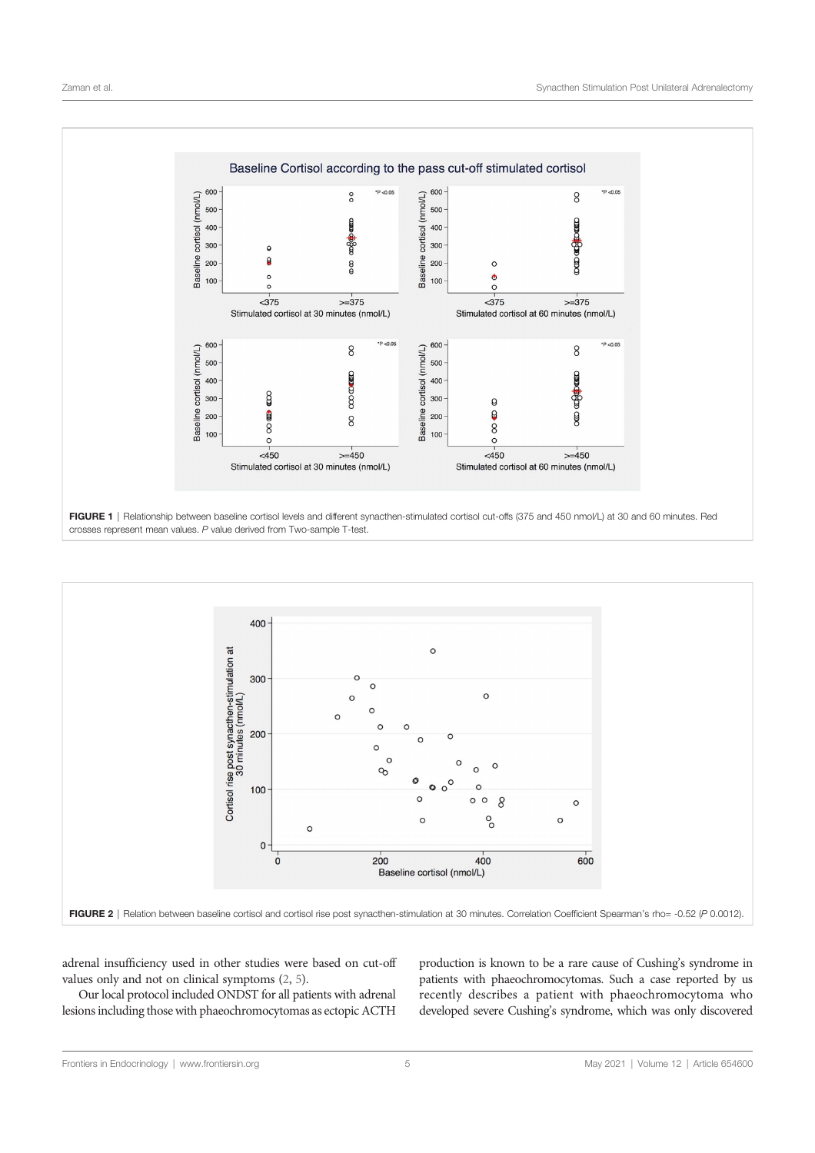



adrenal insufficiency used in other studies were based on cut-off values only and not on clinical symptoms (2, 5).

Our local protocol included ONDST for all patients with adrenal lesions including those with phaeochromocytomas as ectopic ACTH production is known to be a rare cause of Cushing's syndrome in patients with phaeochromocytomas. Such a case reported by us recently describes a patient with phaeochromocytoma who developed severe Cushing's syndrome, which was only discovered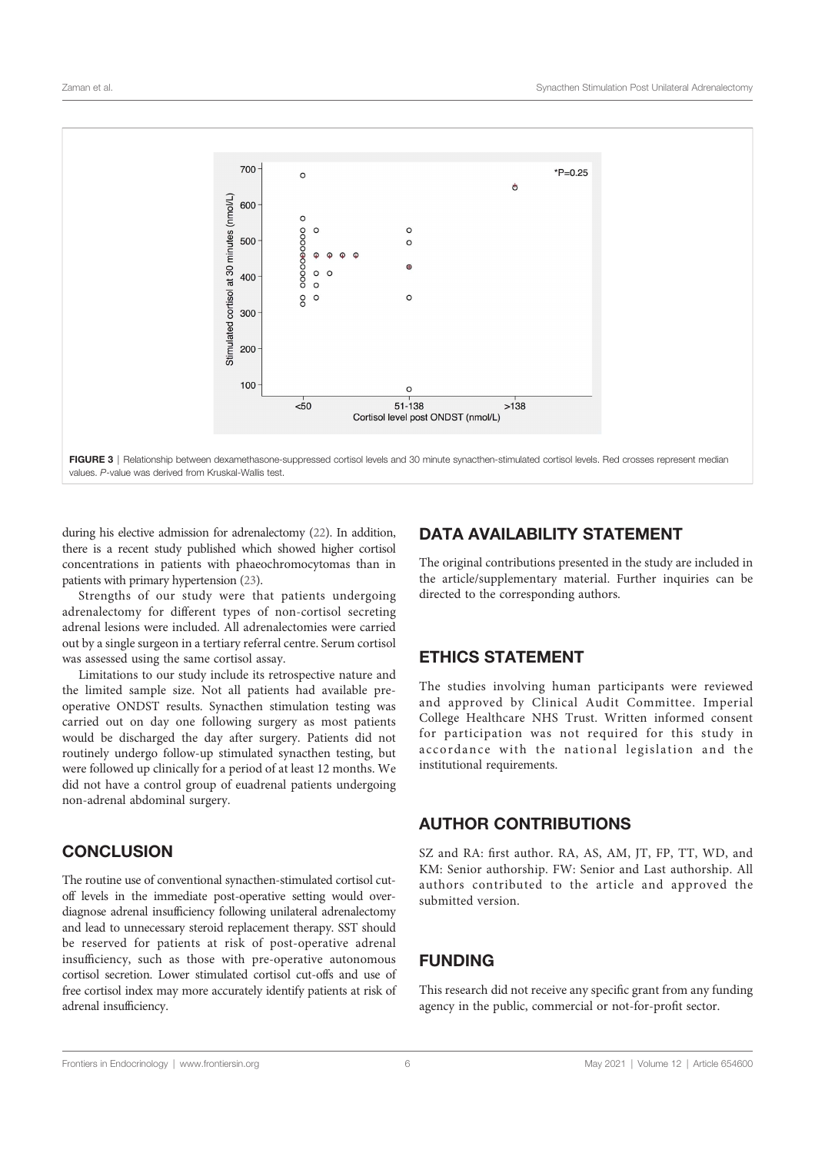

FIGURE 3 | Relationship between dexamethasone-suppressed cortisol levels and 30 minute synacthen-stimulated cortisol levels. Red crosses represent median values. P-value was derived from Kruskal-Wallis test.

during his elective admission for adrenalectomy (22). In addition, there is a recent study published which showed higher cortisol concentrations in patients with phaeochromocytomas than in patients with primary hypertension (23).

Strengths of our study were that patients undergoing adrenalectomy for different types of non-cortisol secreting adrenal lesions were included. All adrenalectomies were carried out by a single surgeon in a tertiary referral centre. Serum cortisol was assessed using the same cortisol assay.

Limitations to our study include its retrospective nature and the limited sample size. Not all patients had available preoperative ONDST results. Synacthen stimulation testing was carried out on day one following surgery as most patients would be discharged the day after surgery. Patients did not routinely undergo follow-up stimulated synacthen testing, but were followed up clinically for a period of at least 12 months. We did not have a control group of euadrenal patients undergoing non-adrenal abdominal surgery.

# **CONCLUSION**

The routine use of conventional synacthen-stimulated cortisol cutoff levels in the immediate post-operative setting would overdiagnose adrenal insufficiency following unilateral adrenalectomy and lead to unnecessary steroid replacement therapy. SST should be reserved for patients at risk of post-operative adrenal insufficiency, such as those with pre-operative autonomous cortisol secretion. Lower stimulated cortisol cut-offs and use of free cortisol index may more accurately identify patients at risk of adrenal insufficiency.

## DATA AVAILABILITY STATEMENT

The original contributions presented in the study are included in the article/supplementary material. Further inquiries can be directed to the corresponding authors.

# ETHICS STATEMENT

The studies involving human participants were reviewed and approved by Clinical Audit Committee. Imperial College Healthcare NHS Trust. Written informed consent for participation was not required for this study in accordance with the national legislation and the institutional requirements.

## AUTHOR CONTRIBUTIONS

SZ and RA: first author. RA, AS, AM, JT, FP, TT, WD, and KM: Senior authorship. FW: Senior and Last authorship. All authors contributed to the article and approved the submitted version.

## FUNDING

This research did not receive any specific grant from any funding agency in the public, commercial or not-for-profit sector.